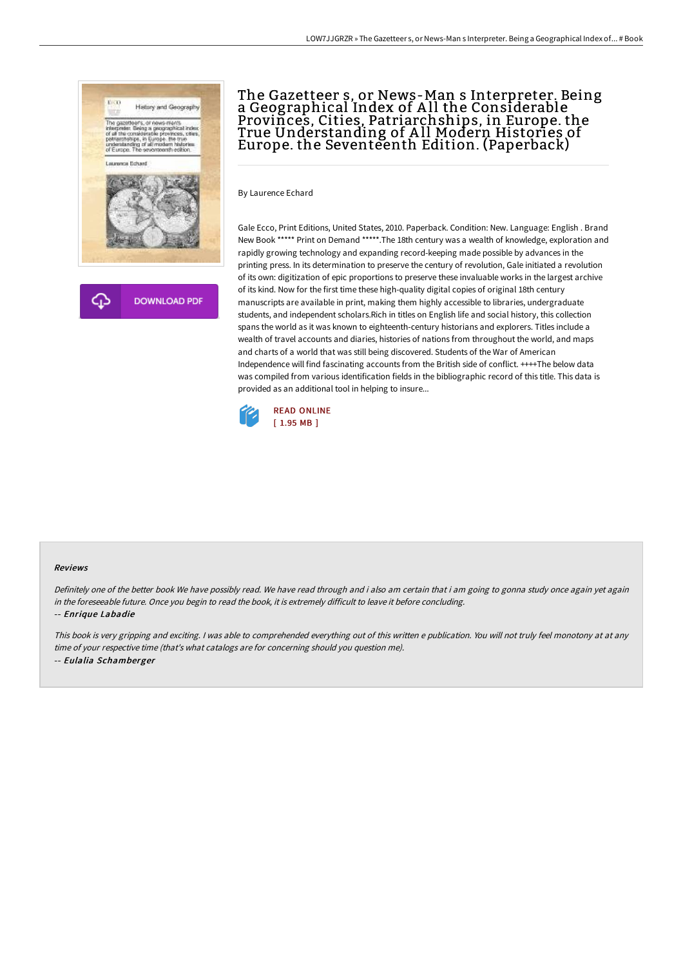

**DOWNLOAD PDF** 

# The Gazetteer s, or News-Man s Interpreter. Being a Geographical Index of All the Considerable  $\,$ Provinces, Cities, Patriarchships, in Europe. the True Understanding of A ll Modern Histories of Europe. the Seventeenth Edition. (Paperback)

By Laurence Echard

Gale Ecco, Print Editions, United States, 2010. Paperback. Condition: New. Language: English . Brand New Book \*\*\*\*\* Print on Demand \*\*\*\*\*.The 18th century was a wealth of knowledge, exploration and rapidly growing technology and expanding record-keeping made possible by advances in the printing press. In its determination to preserve the century of revolution, Gale initiated a revolution of its own: digitization of epic proportions to preserve these invaluable works in the largest archive of its kind. Now for the first time these high-quality digital copies of original 18th century manuscripts are available in print, making them highly accessible to libraries, undergraduate students, and independent scholars.Rich in titles on English life and social history, this collection spans the world as it was known to eighteenth-century historians and explorers. Titles include a wealth of travel accounts and diaries, histories of nations from throughout the world, and maps and charts of a world that was still being discovered. Students of the War of American Independence will find fascinating accounts from the British side of conflict. ++++The below data was compiled from various identification fields in the bibliographic record of this title. This data is provided as an additional tool in helping to insure...



#### Reviews

Definitely one of the better book We have possibly read. We have read through and i also am certain that i am going to gonna study once again yet again in the foreseeable future. Once you begin to read the book, it is extremely difficult to leave it before concluding.

### -- Enrique Labadie

This book is very gripping and exciting. <sup>I</sup> was able to comprehended everything out of this written <sup>e</sup> publication. You will not truly feel monotony at at any time of your respective time (that's what catalogs are for concerning should you question me). -- Eulalia Schamberger